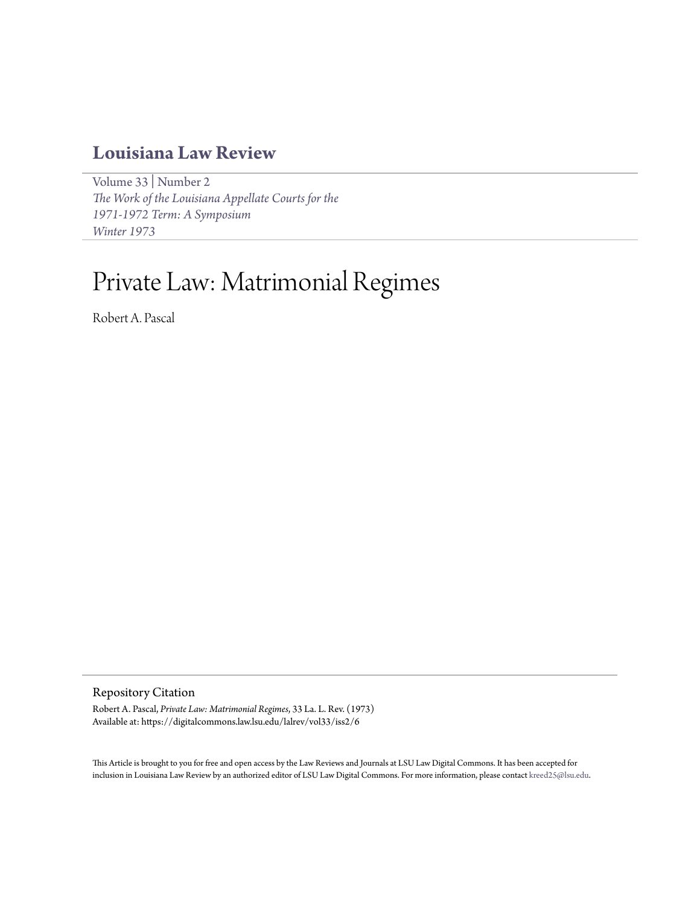# **[Louisiana Law Review](https://digitalcommons.law.lsu.edu/lalrev)**

[Volume 33](https://digitalcommons.law.lsu.edu/lalrev/vol33) | [Number 2](https://digitalcommons.law.lsu.edu/lalrev/vol33/iss2) *[The Work of the Louisiana Appellate Courts for the](https://digitalcommons.law.lsu.edu/lalrev/vol33/iss2) [1971-1972 Term: A Symposium](https://digitalcommons.law.lsu.edu/lalrev/vol33/iss2) [Winter 1973](https://digitalcommons.law.lsu.edu/lalrev/vol33/iss2)*

# Private Law: Matrimonial Regimes

Robert A. Pascal

Repository Citation

Robert A. Pascal, *Private Law: Matrimonial Regimes*, 33 La. L. Rev. (1973) Available at: https://digitalcommons.law.lsu.edu/lalrev/vol33/iss2/6

This Article is brought to you for free and open access by the Law Reviews and Journals at LSU Law Digital Commons. It has been accepted for inclusion in Louisiana Law Review by an authorized editor of LSU Law Digital Commons. For more information, please contact [kreed25@lsu.edu](mailto:kreed25@lsu.edu).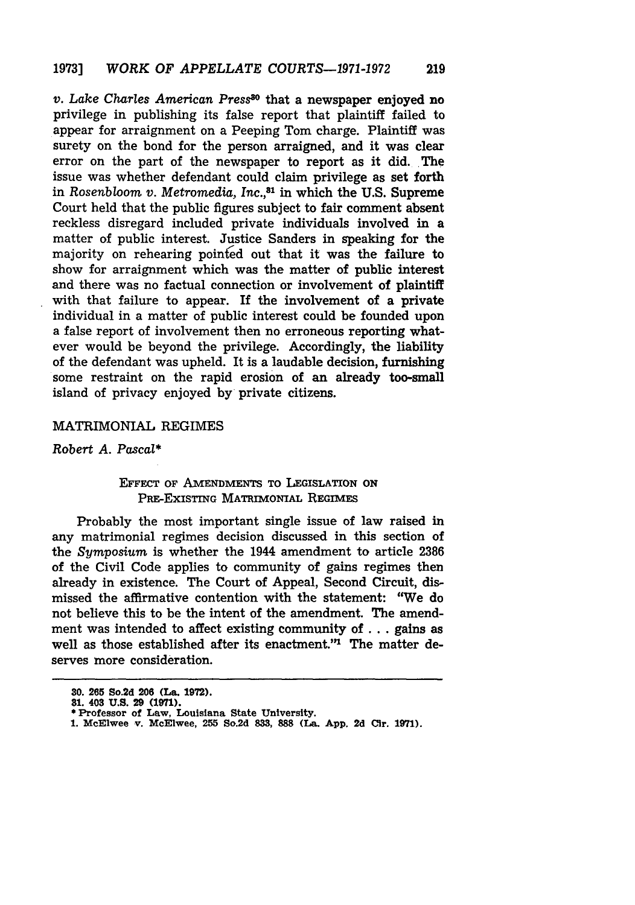*v. Lake Charles* American *Press'\** that a newspaper enjoyed no privilege in publishing its false report that plaintiff failed to appear for arraignment on a Peeping Tom charge. Plaintiff was surety on the bond for the person arraigned, and it was clear error on the part of the newspaper to report as it did. The issue was whether defendant could claim privilege as set forth in *Rosenbloom v. Metromedia, Inc.,31* in which the **U.S.** Supreme Court held that the public figures subject to fair comment absent reckless disregard included private individuals involved in a matter of public interest. Justice Sanders in speaking for the majority on rehearing pointed out that it was the failure to show for arraignment which was the matter of public interest and there was no factual connection or involvement of plaintiff with that failure to appear. If the involvement of a private individual in a matter of public interest could be founded upon a false report of involvement then no erroneous reporting whatever would be beyond the privilege. Accordingly, the liability of the defendant was upheld. It is a laudable decision, furnishing some restraint on the rapid erosion of an already too-small island of privacy enjoyed **by** private citizens.

#### MATRIMONIAL REGIMES

Robert *A. Pascal\**

# **EFFECT OF AMENDMENTS TO LEGISLATION ON** PRE-EXISTING MATRIMONIAL REGIMES

Probably the most important single issue of law raised in any matrimonial regimes decision discussed in this section of the *Symposium* is whether the 1944 amendment to article **2386** of the Civil Code applies to community of gains regimes then already in existence. The Court of Appeal, Second Circuit, dismissed the affirmative contention with the statement: "We do not believe this to be the intent of the amendment. The amendment was intended to affect existing community of ... gains as well as those established after its enactment."<sup>1</sup> The matter deserves more consideration.

**<sup>30.</sup> 265 So.2d 206 (La. 1972).**

**<sup>81.</sup> 403 U.S. 29 (1971).**

**<sup>\*</sup> Professor of Law, Louisiana State University.**

**<sup>1.</sup> McElwee v. McElwee, 255 So.2d 833, 888 (La. App. 2d Cir. 1971).**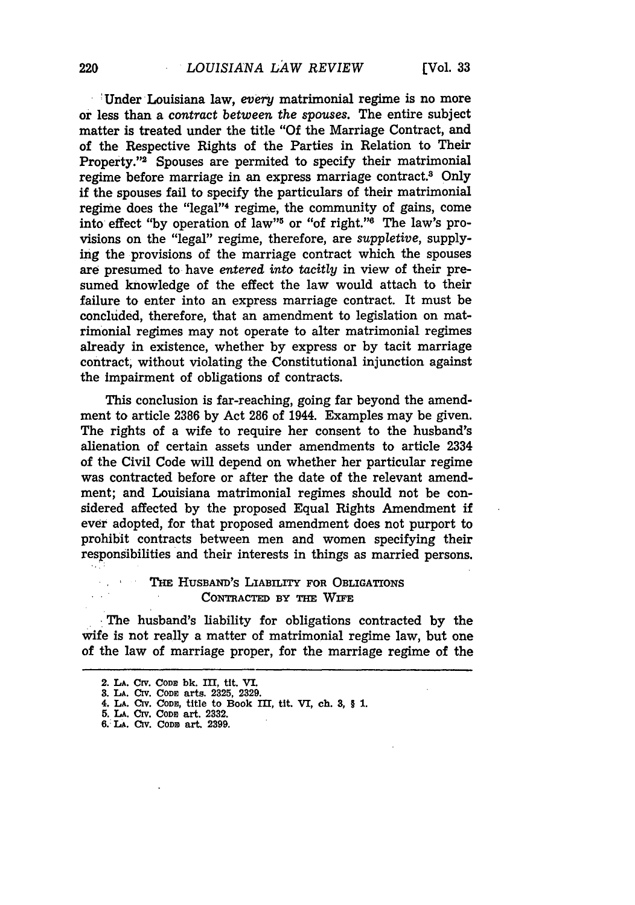220

'Under Louisiana law, *every* matrimonial regime is no more or less than a contract *between the spouses.* The entire subject matter is treated under the title "Of the Marriage Contract, and of the Respective Rights of the Parties in Relation to Their Property."2 Spouses are permited to specify their matrimonial regime before marriage in an express marriage contract.8 Only if the spouses fail to specify the particulars of their matrimonial regime does the "legal"4 regime, the community of gains, come into effect "by operation of law"<sup>5</sup> or "of right."<sup>6</sup> The law's provisions on the "legal" regime, therefore, are *suppletive,* supplying the provisions of the marriage contract which the spouses are presumed to have *entered into tacitly* in view of their presumed knowledge of the effect the law would attach to their failure to enter into an express marriage contract. It must be concluded, therefore, that an amendment to legislation on matrimonial regimes may not operate to alter matrimonial regimes already in existence, whether by express or by tacit marriage contract, without violating the Constitutional injunction against the Impairment of obligations of contracts.

This conclusion is far-reaching, going far beyond the amendment to article 2386 by Act 286 of 1944. Examples may be given. The rights of a wife to require her consent to the husband's alienation of certain assets under amendments to article 2334 of the Civil Code will depend on whether her particular regime was contracted before or after the date of the relevant amendment; and Louisiana matrimonial regimes should not be considered affected by the proposed Equal Rights Amendment if ever adopted, for that proposed amendment does not purport to prohibit contracts between men and women specifying their responsibilities and their interests in things as married persons.

## THE HUSBAND'S LIABILITY FOR OBLIGATIONS CONTRACTED BY THE WIFE

The husband's liability for obligations contracted by the wife is not really a matter of matrimonial regime law, but one of the law of marriage proper, for the marriage regime of the

<sup>2.</sup> **LA. CrV. CODE bk. III, tit. VI.**

**<sup>3.</sup> LA. Civ. CoDn arts. 2325, 2329.**

<sup>4.</sup> **LA. CiV. CODS,** title to Book III, tit. VI, **ch. 3,** § 1.

**<sup>5.</sup> LA. CrV. CODS** art. **2332. 6.: LA. Civ. CODS art. 2399.**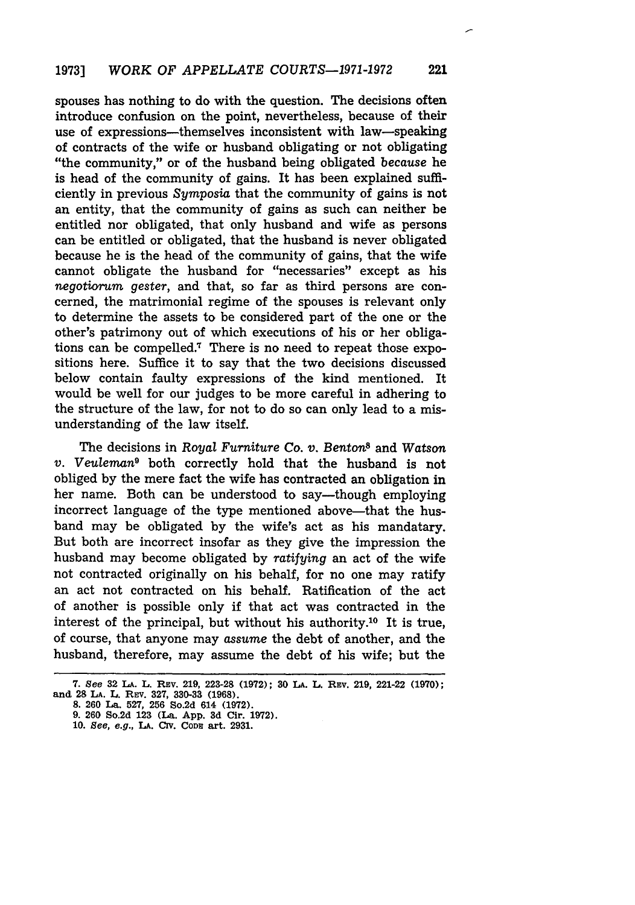spouses has nothing to do with the question. The decisions often introduce confusion on the point, nevertheless, because of their use of expressions—themselves inconsistent with law—speaking of contracts of the wife or husband obligating or not obligating "the community," or of the husband being obligated *because* he is head of the community of gains. It has been explained sufficiently in previous *Symposia* that the community of gains is not an entity, that the community of gains as such can neither be entitled nor obligated, that only husband and wife as persons can be entitled or obligated, that the husband is never obligated because he is the head of the community of gains, that the wife cannot obligate the husband for "necessaries" except as his *negotiorum gester,* and that, so far as third persons are concerned, the matrimonial regime of the spouses is relevant only to determine the assets to be considered part of the one or the other's patrimony out of which executions of his or her obligations can be compelled.7 There is no need to repeat those expositions here. Suffice it to say that the two decisions discussed below contain faulty expressions of the kind mentioned. It would be well for our judges to be more careful in adhering to the structure of the law, for not to do so can only lead to a misunderstanding of the law itself.

The decisions in Royal *Furniture Co. v. Benton8* and *Watson v. Veuleman9* both correctly hold that the husband is not obliged by the mere fact the wife has contracted an obligation in her name. Both can be understood to say-though employing incorrect language of the type mentioned above-that the husband may be obligated by the wife's act as his mandatary. But both are incorrect insofar as they give the impression the husband may become obligated by *ratifying* an act of the wife not contracted originally on his behalf, for no one may ratify an act not contracted on his behalf. Ratification of the act of another is possible only if that act was contracted in the interest of the principal, but without his authority.'0 It is true, of course, that anyone may *assume* the debt of another, and the husband, therefore, may assume the debt of his wife; but the

**<sup>7.</sup>** See **32 LA. L. REv. 219, 223-28 (1972); 30 LA. L. REv. 219,** 221-22 **(1970); and** 28 **LA. L. REV. 327, 330-33 (1968).**

**<sup>8. 260</sup> La. 527, 256 So.2d 614 (1972).**

**<sup>9. 260</sup> So.2d 123 (La. App. 3d Cir. 1972).**

**<sup>10.</sup>** See, e.g., *LA.* **Civ. CoDn art. 2931.**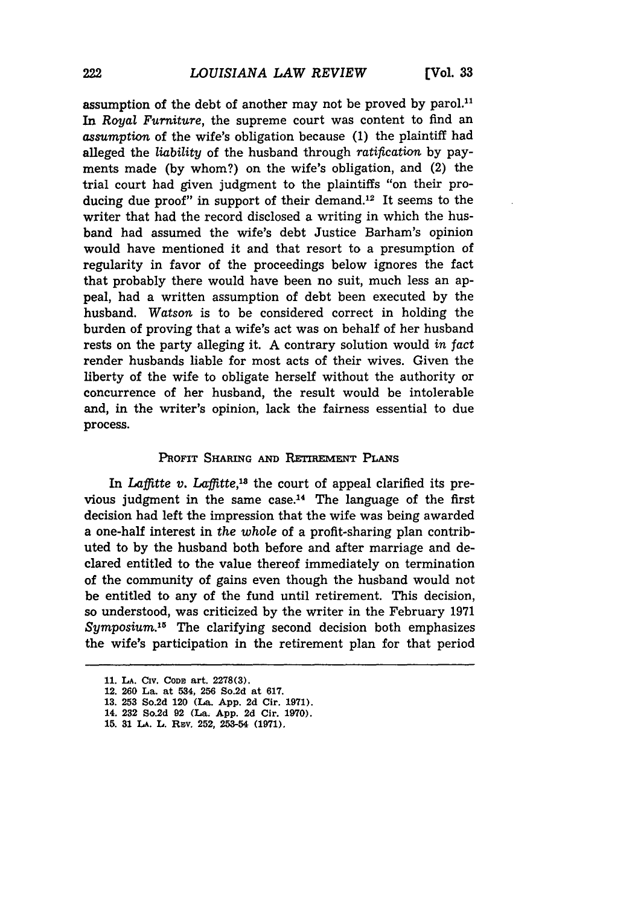assumption of the debt of another may not be proved **by** parol.1 In *Royal Furniture,* the supreme court was content to find an *assumption* of the wife's obligation because **(1)** the plaintiff had alleged the *liability* of the husband through *ratification* by payments made (by whom?) on the wife's obligation, and (2) the trial court had given judgment to the plaintiffs "on their producing due proof" in support of their demand.<sup>12</sup> It seems to the writer that had the record disclosed a writing in which the husband had assumed the wife's debt Justice Barham's opinion would have mentioned it and that resort to a presumption of regularity in favor of the proceedings below ignores the fact that probably there would have been no suit, much less an appeal, had a written assumption of debt been executed by the husband. Watson is to be considered correct in holding the burden of proving that a wife's act was on behalf of her husband rests on the party alleging it. A contrary solution would *in fact* render husbands liable for most acts of their wives. Given the liberty of the wife to obligate herself without the authority or concurrence of her husband, the result would be intolerable and, in the writer's opinion, lack the fairness essential to due process.

#### **PROFIT SHARING AND RETIREMENT PLANs**

In *Laffitte v. Laffitte*,<sup>18</sup> the court of appeal clarified its previous judgment in the same case.14 The language of the first decision had left the impression that the wife was being awarded a one-half interest in the *whole* of a profit-sharing plan contributed to by the husband both before and after marriage and declared entitled to the value thereof immediately on termination of the community of gains even though the husband would not be entitled to any of the fund until retirement. This decision, so understood, was criticized by the writer in the February 1971 Symposium.<sup>15</sup> The clarifying second decision both emphasizes the wife's participation in the retirement plan for that period

<sup>11.</sup> LA. CIV. CODE art. 2278(3).

**<sup>12. 260</sup> La. at 534, 256 So.2d at 617.**

**<sup>13. 253</sup> So.2d 120 (La. App. 2d Cir. 1971).**

**<sup>14. 232</sup> So.2d 92 (La. App. 2d Cir. 1970).**

**<sup>15. 31</sup> LA. L. REv. 252, 253-54 (1971).**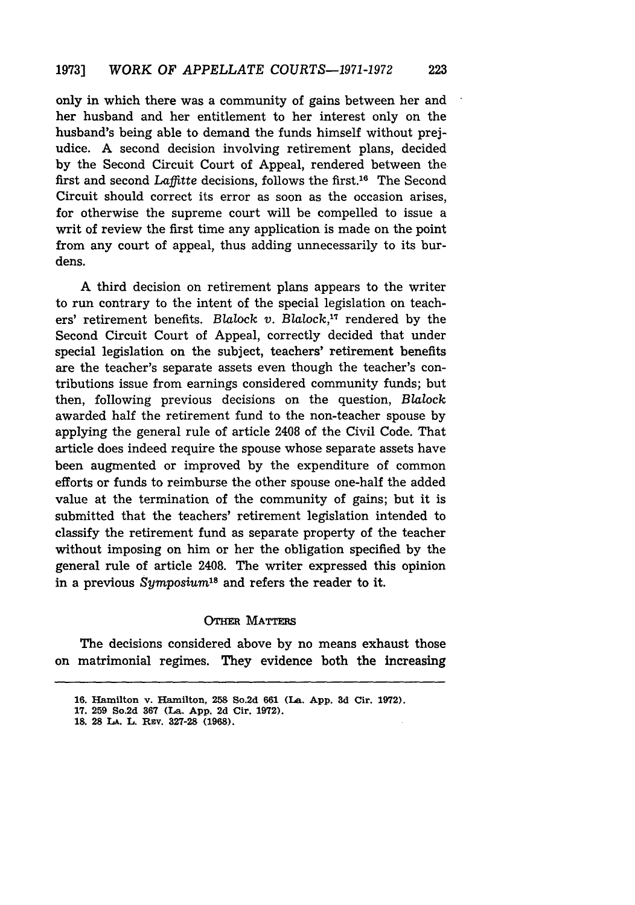only in which there was a community of gains between her and her husband and her entitlement to her interest only on the husband's being able to demand the funds himself without prejudice. A second decision involving retirement plans, decided by the Second Circuit Court of Appeal, rendered between the first and second *Laffitte* decisions, follows the first.<sup>16</sup> The Second Circuit should correct its error as soon as the occasion arises, for otherwise the supreme court will be compelled to issue a writ of review the first time any application is made on the point from any court of appeal, thus adding unnecessarily to its burdens.

A third decision on retirement plans appears to the writer to run contrary to the intent of the special legislation on teachers' retirement benefits. Blalock *v.* Blalock,"' rendered by the Second Circuit Court of Appeal, correctly decided that under special legislation on the subject, teachers' retirement benefits are the teacher's separate assets even though the teacher's contributions issue from earnings considered community funds; but then, following previous decisions on the question, Blalock awarded half the retirement fund to the non-teacher spouse by applying the general rule of article 2408 of the Civil Code. That article does indeed require the spouse whose separate assets have been augmented or improved by the expenditure of common efforts or funds to reimburse the other spouse one-half the added value at the termination of the community of gains; but it is submitted that the teachers' retirement legislation intended to classify the retirement fund as separate property of the teacher without imposing on him or her the obligation specified by the general rule of article 2408. The writer expressed this opinion in a previous *Symposium*<sup>18</sup> and refers the reader to it.

### **OTHER MATTERS**

The decisions considered above by no means exhaust those on matrimonial regimes. They evidence both the increasing

**<sup>16.</sup>** Hamilton v. Hamilton, **258** So.2d **661** (La. **App. 3d** Cir. **1972).**

**<sup>17. 259</sup> So,2d 367** (La. **App. 2d** Cir. **1972).**

**<sup>18. 28</sup> LA.** L. **REv. 327-28 (1968).**